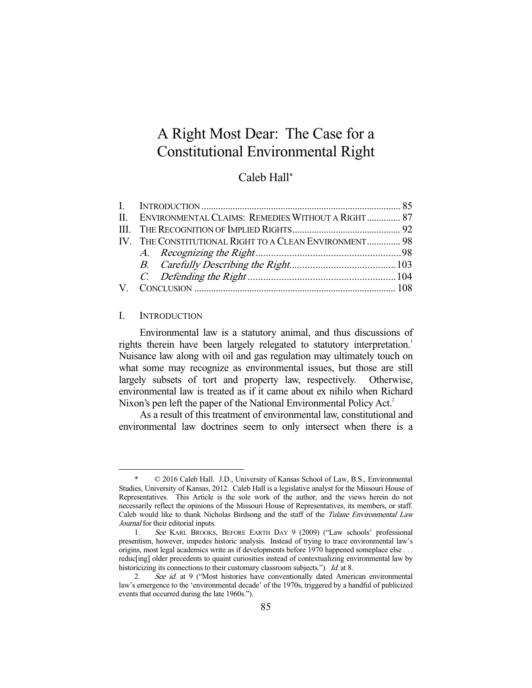# A Right Most Dear: The Case for a Constitutional Environmental Right

# Caleb Hall\*

|  | II. ENVIRONMENTAL CLAIMS: REMEDIES WITHOUT A RIGHT 87  |  |
|--|--------------------------------------------------------|--|
|  |                                                        |  |
|  | IV. THE CONSTITUTIONAL RIGHT TO A CLEAN ENVIRONMENT 98 |  |
|  |                                                        |  |
|  |                                                        |  |
|  |                                                        |  |
|  |                                                        |  |
|  |                                                        |  |

## I. INTRODUCTION

-

 Environmental law is a statutory animal, and thus discussions of rights therein have been largely relegated to statutory interpretation.<sup>1</sup> Nuisance law along with oil and gas regulation may ultimately touch on what some may recognize as environmental issues, but those are still largely subsets of tort and property law, respectively. Otherwise, environmental law is treated as if it came about ex nihilo when Richard Nixon's pen left the paper of the National Environmental Policy Act.<sup>2</sup>

 As a result of this treatment of environmental law, constitutional and environmental law doctrines seem to only intersect when there is a

 <sup>\* © 2016</sup> Caleb Hall. J.D., University of Kansas School of Law, B.S., Environmental Studies, University of Kansas, 2012. Caleb Hall is a legislative analyst for the Missouri House of Representatives. This Article is the sole work of the author, and the views herein do not necessarily reflect the opinions of the Missouri House of Representatives, its members, or staff. Caleb would like to thank Nicholas Birdsong and the staff of the Tulane Environmental Law Journal for their editorial inputs.

 <sup>1.</sup> See KARL BROOKS, BEFORE EARTH DAY 9 (2009) ("Law schools' professional presentism, however, impedes historic analysis. Instead of trying to trace environmental law's origins, most legal academics write as if developments before 1970 happened someplace else . . . reduc[ing] older precedents to quaint curiosities instead of contextualizing environmental law by historicizing its connections to their customary classroom subjects."). Id. at 8.

<sup>2.</sup> See id. at 9 ("Most histories have conventionally dated American environmental law's emergence to the 'environmental decade' of the 1970s, triggered by a handful of publicized events that occurred during the late 1960s.").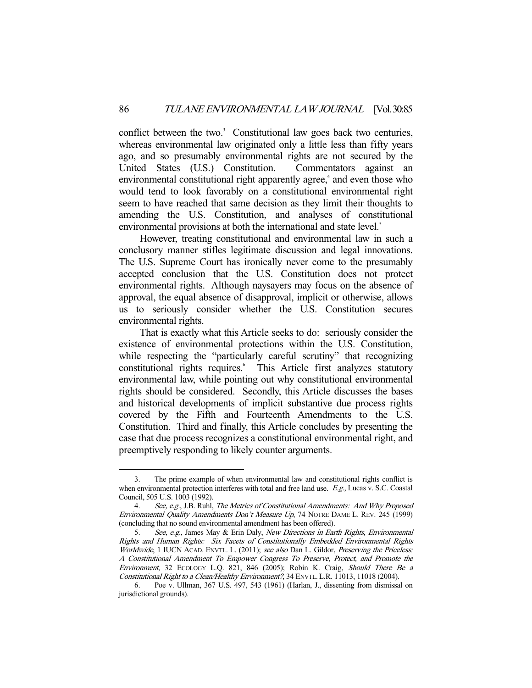conflict between the two.<sup>3</sup> Constitutional law goes back two centuries, whereas environmental law originated only a little less than fifty years ago, and so presumably environmental rights are not secured by the United States (U.S.) Constitution. Commentators against an environmental constitutional right apparently agree,<sup>4</sup> and even those who would tend to look favorably on a constitutional environmental right seem to have reached that same decision as they limit their thoughts to amending the U.S. Constitution, and analyses of constitutional environmental provisions at both the international and state level.<sup>5</sup>

 However, treating constitutional and environmental law in such a conclusory manner stifles legitimate discussion and legal innovations. The U.S. Supreme Court has ironically never come to the presumably accepted conclusion that the U.S. Constitution does not protect environmental rights. Although naysayers may focus on the absence of approval, the equal absence of disapproval, implicit or otherwise, allows us to seriously consider whether the U.S. Constitution secures environmental rights.

 That is exactly what this Article seeks to do: seriously consider the existence of environmental protections within the U.S. Constitution, while respecting the "particularly careful scrutiny" that recognizing constitutional rights requires.<sup>6</sup> This Article first analyzes statutory environmental law, while pointing out why constitutional environmental rights should be considered. Secondly, this Article discusses the bases and historical developments of implicit substantive due process rights covered by the Fifth and Fourteenth Amendments to the U.S. Constitution. Third and finally, this Article concludes by presenting the case that due process recognizes a constitutional environmental right, and preemptively responding to likely counter arguments.

 <sup>3.</sup> The prime example of when environmental law and constitutional rights conflict is when environmental protection interferes with total and free land use. E.g., Lucas v. S.C. Coastal Council, 505 U.S. 1003 (1992).

 <sup>4.</sup> See, e.g., J.B. Ruhl, The Metrics of Constitutional Amendments: And Why Proposed Environmental Quality Amendments Don't Measure Up, 74 NOTRE DAME L. REV. 245 (1999) (concluding that no sound environmental amendment has been offered).

 <sup>5.</sup> See, e.g., James May & Erin Daly, New Directions in Earth Rights, Environmental Rights and Human Rights: Six Facets of Constitutionally Embedded Environmental Rights Worldwide, 1 IUCN ACAD. ENVTL. L. (2011); see also Dan L. Gildor, Preserving the Priceless: A Constitutional Amendment To Empower Congress To Preserve, Protect, and Promote the Environment, 32 ECOLOGY L.Q. 821, 846 (2005); Robin K. Craig, Should There Be a Constitutional Right to a Clean/Healthy Environment?, 34 ENVTL. L.R. 11013, 11018 (2004).

 <sup>6.</sup> Poe v. Ullman, 367 U.S. 497, 543 (1961) (Harlan, J., dissenting from dismissal on jurisdictional grounds).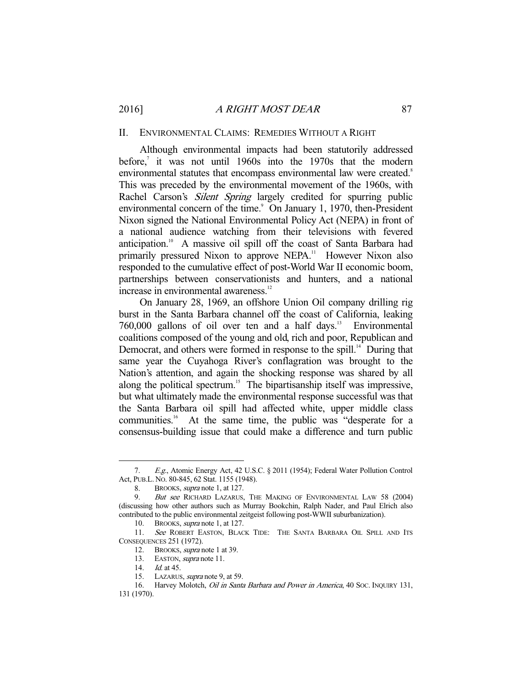#### II. ENVIRONMENTAL CLAIMS: REMEDIES WITHOUT A RIGHT

 Although environmental impacts had been statutorily addressed before,<sup>7</sup> it was not until 1960s into the 1970s that the modern environmental statutes that encompass environmental law were created.<sup>8</sup> This was preceded by the environmental movement of the 1960s, with Rachel Carson's *Silent Spring* largely credited for spurring public environmental concern of the time.<sup>9</sup> On January 1, 1970, then-President Nixon signed the National Environmental Policy Act (NEPA) in front of a national audience watching from their televisions with fevered anticipation.10 A massive oil spill off the coast of Santa Barbara had primarily pressured Nixon to approve NEPA.<sup>11</sup> However Nixon also responded to the cumulative effect of post-World War II economic boom, partnerships between conservationists and hunters, and a national increase in environmental awareness.<sup>12</sup>

 On January 28, 1969, an offshore Union Oil company drilling rig burst in the Santa Barbara channel off the coast of California, leaking 760,000 gallons of oil over ten and a half days.13 Environmental coalitions composed of the young and old, rich and poor, Republican and Democrat, and others were formed in response to the spill.<sup>14</sup> During that same year the Cuyahoga River's conflagration was brought to the Nation's attention, and again the shocking response was shared by all along the political spectrum.<sup>15</sup> The bipartisanship itself was impressive, but what ultimately made the environmental response successful was that the Santa Barbara oil spill had affected white, upper middle class communities.<sup>16</sup> At the same time, the public was "desperate for a consensus-building issue that could make a difference and turn public

 <sup>7.</sup> E.g., Atomic Energy Act, 42 U.S.C. § 2011 (1954); Federal Water Pollution Control Act, PUB.L. NO. 80-845, 62 Stat. 1155 (1948).

<sup>8.</sup> BROOKS, *supra* note 1, at 127.

<sup>9.</sup> But see RICHARD LAZARUS, THE MAKING OF ENVIRONMENTAL LAW 58 (2004) (discussing how other authors such as Murray Bookchin, Ralph Nader, and Paul Elrich also contributed to the public environmental zeitgeist following post-WWII suburbanization).

<sup>10.</sup> BROOKS, *supra* note 1, at 127.

<sup>11.</sup> See ROBERT EASTON, BLACK TIDE: THE SANTA BARBARA OIL SPILL AND ITS CONSEQUENCES 251 (1972).

<sup>12.</sup> BROOKS, *supra* note 1 at 39.

<sup>13.</sup> EASTON, *supra* note 11.

 <sup>14.</sup> Id. at 45.

 <sup>15.</sup> LAZARUS, supra note 9, at 59.

 <sup>16.</sup> Harvey Molotch, Oil in Santa Barbara and Power in America, 40 SOC. INQUIRY 131,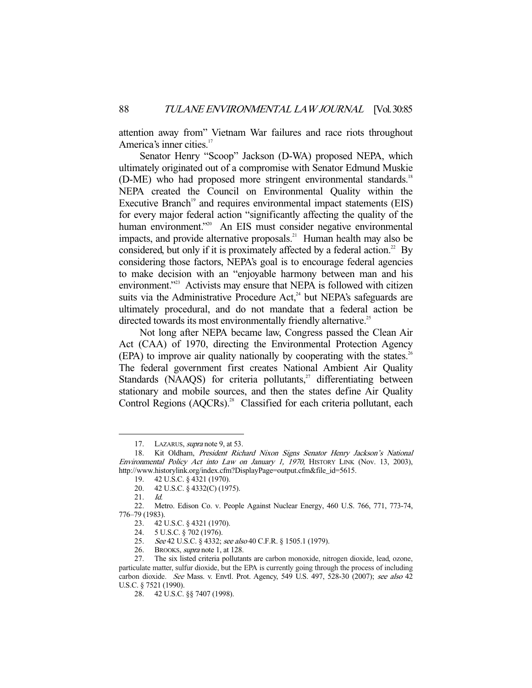attention away from" Vietnam War failures and race riots throughout America's inner cities.<sup>17</sup>

 Senator Henry "Scoop" Jackson (D-WA) proposed NEPA, which ultimately originated out of a compromise with Senator Edmund Muskie (D-ME) who had proposed more stringent environmental standards.<sup>18</sup> NEPA created the Council on Environmental Quality within the Executive Branch<sup>19</sup> and requires environmental impact statements (EIS) for every major federal action "significantly affecting the quality of the human environment."<sup>20</sup> An EIS must consider negative environmental impacts, and provide alternative proposals.<sup>21</sup> Human health may also be considered, but only if it is proximately affected by a federal action.<sup>22</sup> By considering those factors, NEPA's goal is to encourage federal agencies to make decision with an "enjoyable harmony between man and his environment."<sup>23</sup> Activists may ensure that NEPA is followed with citizen suits via the Administrative Procedure  $Act<sub>1</sub><sup>24</sup>$  but NEPA's safeguards are ultimately procedural, and do not mandate that a federal action be directed towards its most environmentally friendly alternative.<sup>25</sup>

 Not long after NEPA became law, Congress passed the Clean Air Act (CAA) of 1970, directing the Environmental Protection Agency  $(EPA)$  to improve air quality nationally by cooperating with the states.<sup>26</sup> The federal government first creates National Ambient Air Quality Standards (NAAQS) for criteria pollutants,<sup>27</sup> differentiating between stationary and mobile sources, and then the states define Air Quality Control Regions (AQCRs).<sup>28</sup> Classified for each criteria pollutant, each

<sup>17.</sup> LAZARUS, *supra* note 9, at 53.

<sup>18.</sup> Kit Oldham, President Richard Nixon Signs Senator Henry Jackson's National Environmental Policy Act into Law on January 1, 1970, HISTORY LINK (Nov. 13, 2003), http://www.historylink.org/index.cfm?DisplayPage=output.cfm&file\_id=5615.

 <sup>19. 42</sup> U.S.C. § 4321 (1970).

 <sup>20. 42</sup> U.S.C. § 4332(C) (1975).

 <sup>21.</sup> Id.

 <sup>22.</sup> Metro. Edison Co. v. People Against Nuclear Energy, 460 U.S. 766, 771, 773-74, 776–79 (1983).

 <sup>23. 42</sup> U.S.C. § 4321 (1970).

 <sup>24. 5</sup> U.S.C. § 702 (1976).

<sup>25.</sup> See 42 U.S.C. § 4332; see also 40 C.F.R. § 1505.1 (1979).<br>26. BROOKS, *supra* note 1, at 128.

BROOKS, *supra* note 1, at 128.

 <sup>27.</sup> The six listed criteria pollutants are carbon monoxide, nitrogen dioxide, lead, ozone, particulate matter, sulfur dioxide, but the EPA is currently going through the process of including carbon dioxide. See Mass. v. Envtl. Prot. Agency, 549 U.S. 497, 528-30 (2007); see also 42 U.S.C. § 7521 (1990).

 <sup>28. 42</sup> U.S.C. §§ 7407 (1998).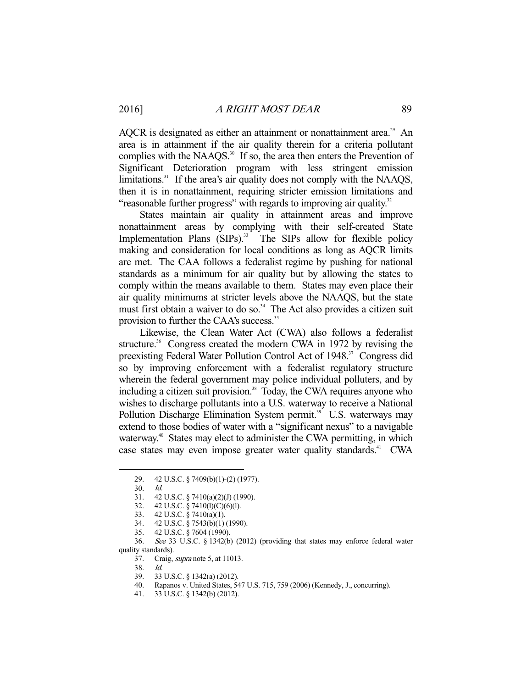AQCR is designated as either an attainment or nonattainment area.<sup>29</sup> An area is in attainment if the air quality therein for a criteria pollutant complies with the NAAQS. $30$  If so, the area then enters the Prevention of Significant Deterioration program with less stringent emission limitations.<sup>31</sup> If the area's air quality does not comply with the NAAQS, then it is in nonattainment, requiring stricter emission limitations and "reasonable further progress" with regards to improving air quality.<sup>32</sup>

 States maintain air quality in attainment areas and improve nonattainment areas by complying with their self-created State Implementation Plans (SIPs).<sup>33</sup> The SIPs allow for flexible policy making and consideration for local conditions as long as AQCR limits are met. The CAA follows a federalist regime by pushing for national standards as a minimum for air quality but by allowing the states to comply within the means available to them. States may even place their air quality minimums at stricter levels above the NAAQS, but the state must first obtain a waiver to do so.<sup>34</sup> The Act also provides a citizen suit provision to further the CAA's success.<sup>35</sup>

 Likewise, the Clean Water Act (CWA) also follows a federalist structure.<sup>36</sup> Congress created the modern CWA in 1972 by revising the preexisting Federal Water Pollution Control Act of 1948.<sup>37</sup> Congress did so by improving enforcement with a federalist regulatory structure wherein the federal government may police individual polluters, and by including a citizen suit provision.<sup>38</sup> Today, the CWA requires anyone who wishes to discharge pollutants into a U.S. waterway to receive a National Pollution Discharge Elimination System permit.<sup>39</sup> U.S. waterways may extend to those bodies of water with a "significant nexus" to a navigable waterway.<sup>40</sup> States may elect to administer the CWA permitting, in which case states may even impose greater water quality standards.<sup>41</sup> CWA

-

35. 42 U.S.C. § 7604 (1990).

 <sup>29. 42</sup> U.S.C. § 7409(b)(1)-(2) (1977).

 <sup>30.</sup> Id.

 <sup>31. 42</sup> U.S.C. § 7410(a)(2)(J) (1990).

 <sup>32. 42</sup> U.S.C. § 7410(l)(C)(6)(l).

 <sup>33. 42</sup> U.S.C. § 7410(a)(1).

 <sup>34. 42</sup> U.S.C. § 7543(b)(1) (1990).

 <sup>36.</sup> See 33 U.S.C. § 1342(b) (2012) (providing that states may enforce federal water quality standards).

 <sup>37.</sup> Craig, supra note 5, at 11013.

 <sup>38.</sup> Id.

 <sup>39. 33</sup> U.S.C. § 1342(a) (2012).

 <sup>40.</sup> Rapanos v. United States, 547 U.S. 715, 759 (2006) (Kennedy, J., concurring).

 <sup>41. 33</sup> U.S.C. § 1342(b) (2012).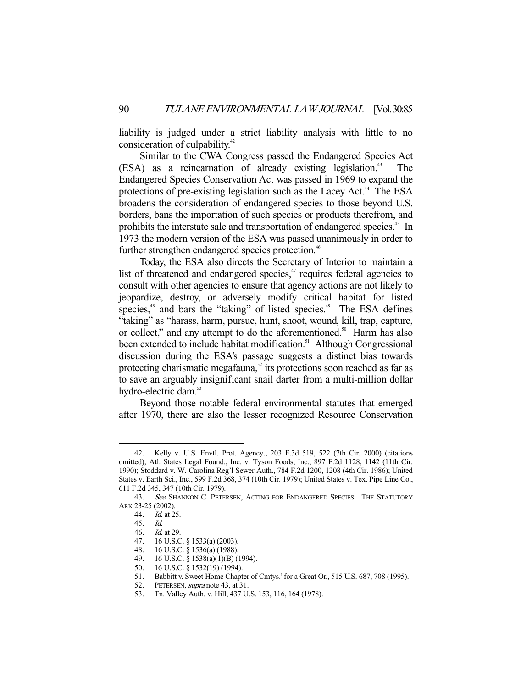liability is judged under a strict liability analysis with little to no consideration of culpability.<sup>42</sup>

 Similar to the CWA Congress passed the Endangered Species Act (ESA) as a reincarnation of already existing legislation.<sup>43</sup> The Endangered Species Conservation Act was passed in 1969 to expand the protections of pre-existing legislation such as the Lacey Act.<sup>44</sup> The ESA broadens the consideration of endangered species to those beyond U.S. borders, bans the importation of such species or products therefrom, and prohibits the interstate sale and transportation of endangered species.<sup>45</sup> In 1973 the modern version of the ESA was passed unanimously in order to further strengthen endangered species protection.<sup>46</sup>

 Today, the ESA also directs the Secretary of Interior to maintain a list of threatened and endangered species, $47$  requires federal agencies to consult with other agencies to ensure that agency actions are not likely to jeopardize, destroy, or adversely modify critical habitat for listed species,<sup>48</sup> and bars the "taking" of listed species.<sup>49</sup> The ESA defines "taking" as "harass, harm, pursue, hunt, shoot, wound, kill, trap, capture, or collect," and any attempt to do the aforementioned.<sup>50</sup> Harm has also been extended to include habitat modification.<sup>51</sup> Although Congressional discussion during the ESA's passage suggests a distinct bias towards protecting charismatic megafauna, $52$  its protections soon reached as far as to save an arguably insignificant snail darter from a multi-million dollar hydro-electric dam.<sup>53</sup>

 Beyond those notable federal environmental statutes that emerged after 1970, there are also the lesser recognized Resource Conservation

 <sup>42.</sup> Kelly v. U.S. Envtl. Prot. Agency., 203 F.3d 519, 522 (7th Cir. 2000) (citations omitted); Atl. States Legal Found., Inc. v. Tyson Foods, Inc., 897 F.2d 1128, 1142 (11th Cir. 1990); Stoddard v. W. Carolina Reg'l Sewer Auth., 784 F.2d 1200, 1208 (4th Cir. 1986); United States v. Earth Sci., Inc., 599 F.2d 368, 374 (10th Cir. 1979); United States v. Tex. Pipe Line Co., 611 F.2d 345, 347 (10th Cir. 1979).

<sup>43.</sup> See SHANNON C. PETERSEN, ACTING FOR ENDANGERED SPECIES: THE STATUTORY ARK 23-25 (2002).

 <sup>44.</sup> Id. at 25.

 <sup>45.</sup> Id.

 <sup>46.</sup> Id. at 29.

 <sup>47. 16</sup> U.S.C. § 1533(a) (2003).

<sup>48. 16</sup> U.S.C.  $\frac{8}{5}$  1536(a) (1988).<br>49. 16 U.S.C.  $\frac{8}{5}$  1538(a)(1)(B) (

<sup>16</sup> U.S.C. § 1538(a)(1)(B) (1994).

 <sup>50. 16</sup> U.S.C. § 1532(19) (1994).

 <sup>51.</sup> Babbitt v. Sweet Home Chapter of Cmtys.' for a Great Or., 515 U.S. 687, 708 (1995).

<sup>52.</sup> PETERSEN, *supra* note 43, at 31.

 <sup>53.</sup> Tn. Valley Auth. v. Hill, 437 U.S. 153, 116, 164 (1978).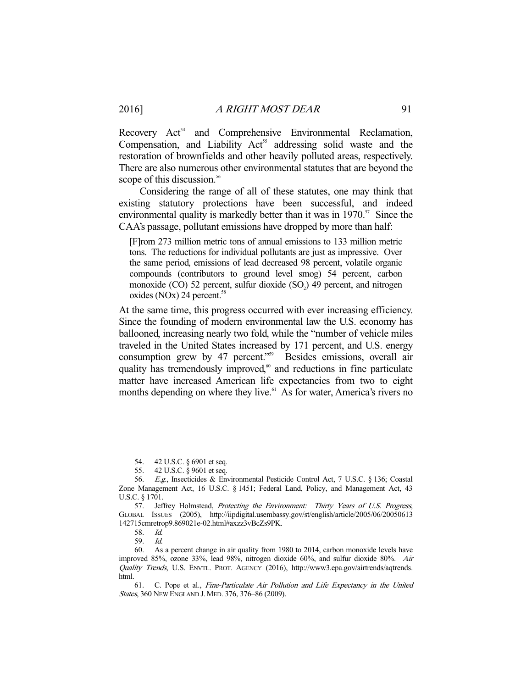Recovery Act<sup>54</sup> and Comprehensive Environmental Reclamation, Compensation, and Liability  $Act<sup>55</sup>$  addressing solid waste and the restoration of brownfields and other heavily polluted areas, respectively. There are also numerous other environmental statutes that are beyond the scope of this discussion.<sup>56</sup>

 Considering the range of all of these statutes, one may think that existing statutory protections have been successful, and indeed environmental quality is markedly better than it was in  $1970$ <sup>57</sup>. Since the CAA's passage, pollutant emissions have dropped by more than half:

[F]rom 273 million metric tons of annual emissions to 133 million metric tons. The reductions for individual pollutants are just as impressive. Over the same period, emissions of lead decreased 98 percent, volatile organic compounds (contributors to ground level smog) 54 percent, carbon monoxide  $(CO)$  52 percent, sulfur dioxide  $(SO<sub>2</sub>)$  49 percent, and nitrogen oxides  $(NOx)$  24 percent.<sup>58</sup>

At the same time, this progress occurred with ever increasing efficiency. Since the founding of modern environmental law the U.S. economy has ballooned, increasing nearly two fold, while the "number of vehicle miles traveled in the United States increased by 171 percent, and U.S. energy consumption grew by 47 percent."<sup>59</sup> Besides emissions, overall air quality has tremendously improved,<sup>60</sup> and reductions in fine particulate matter have increased American life expectancies from two to eight months depending on where they live.<sup>61</sup> As for water, America's rivers no

 <sup>54. 42</sup> U.S.C. § 6901 et seq.

 <sup>55. 42</sup> U.S.C. § 9601 et seq.

 <sup>56.</sup> E.g., Insecticides & Environmental Pesticide Control Act, 7 U.S.C. § 136; Coastal Zone Management Act, 16 U.S.C. § 1451; Federal Land, Policy, and Management Act, 43 U.S.C. § 1701.

<sup>57.</sup> Jeffrey Holmstead, Protecting the Environment: Thirty Years of U.S. Progress, GLOBAL ISSUES (2005), http://iipdigital.usembassy.gov/st/english/article/2005/06/20050613 142715cmretrop9.869021e-02.html#axzz3vBcZs9PK.

 <sup>58.</sup> Id.

 <sup>59.</sup> Id.

 <sup>60.</sup> As a percent change in air quality from 1980 to 2014, carbon monoxide levels have improved 85%, ozone 33%, lead 98%, nitrogen dioxide 60%, and sulfur dioxide 80%. Air Quality Trends, U.S. ENVTL. PROT. AGENCY (2016), http://www3.epa.gov/airtrends/aqtrends. html.

 <sup>61.</sup> C. Pope et al., Fine-Particulate Air Pollution and Life Expectancy in the United States, 360 NEW ENGLAND J. MED. 376, 376–86 (2009).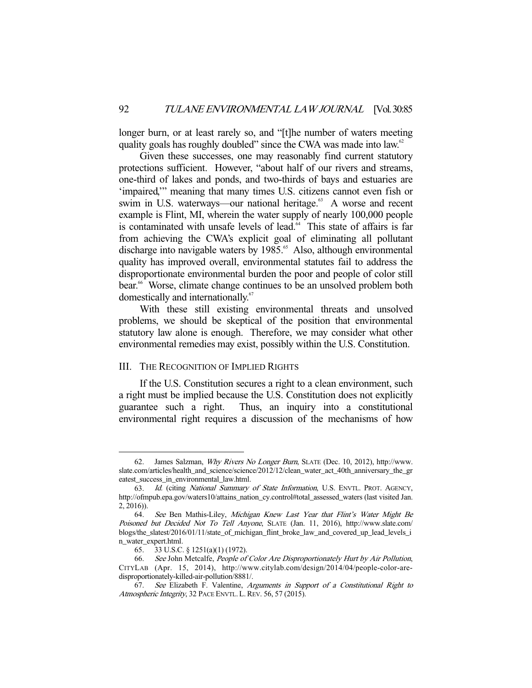longer burn, or at least rarely so, and "[t]he number of waters meeting quality goals has roughly doubled" since the CWA was made into law.<sup>62</sup>

 Given these successes, one may reasonably find current statutory protections sufficient. However, "about half of our rivers and streams, one-third of lakes and ponds, and two-thirds of bays and estuaries are 'impaired,'" meaning that many times U.S. citizens cannot even fish or swim in U.S. waterways—our national heritage.<sup>63</sup> A worse and recent example is Flint, MI, wherein the water supply of nearly 100,000 people is contaminated with unsafe levels of lead.<sup>64</sup> This state of affairs is far from achieving the CWA's explicit goal of eliminating all pollutant discharge into navigable waters by 1985.<sup>65</sup> Also, although environmental quality has improved overall, environmental statutes fail to address the disproportionate environmental burden the poor and people of color still bear.<sup>66</sup> Worse, climate change continues to be an unsolved problem both domestically and internationally.<sup>67</sup>

 With these still existing environmental threats and unsolved problems, we should be skeptical of the position that environmental statutory law alone is enough. Therefore, we may consider what other environmental remedies may exist, possibly within the U.S. Constitution.

#### III. THE RECOGNITION OF IMPLIED RIGHTS

 If the U.S. Constitution secures a right to a clean environment, such a right must be implied because the U.S. Constitution does not explicitly guarantee such a right. Thus, an inquiry into a constitutional environmental right requires a discussion of the mechanisms of how

<sup>62.</sup> James Salzman, Why Rivers No Longer Burn, SLATE (Dec. 10, 2012), http://www. slate.com/articles/health\_and\_science/science/2012/12/clean\_water\_act\_40th\_anniversary\_the\_gr eatest success in environmental law.html.

 <sup>63.</sup> Id. (citing National Summary of State Information, U.S. ENVTL. PROT. AGENCY, http://ofmpub.epa.gov/waters10/attains\_nation\_cy.control#total\_assessed\_waters (last visited Jan.  $2, 2016$ )).

 <sup>64.</sup> See Ben Mathis-Liley, Michigan Knew Last Year that Flint's Water Might Be Poisoned but Decided Not To Tell Anyone, SLATE (Jan. 11, 2016), http://www.slate.com/ blogs/the\_slatest/2016/01/11/state\_of\_michigan\_flint\_broke\_law\_and\_covered\_up\_lead\_levels\_i n\_water\_expert.html.

 <sup>65. 33</sup> U.S.C. § 1251(a)(1) (1972).

 <sup>66.</sup> See John Metcalfe, People of Color Are Disproportionately Hurt by Air Pollution, CITYLAB (Apr. 15, 2014), http://www.citylab.com/design/2014/04/people-color-aredisproportionately-killed-air-pollution/8881/.

 <sup>67.</sup> See Elizabeth F. Valentine, Arguments in Support of a Constitutional Right to Atmospheric Integrity, 32 PACE ENVTL. L. REV. 56, 57 (2015).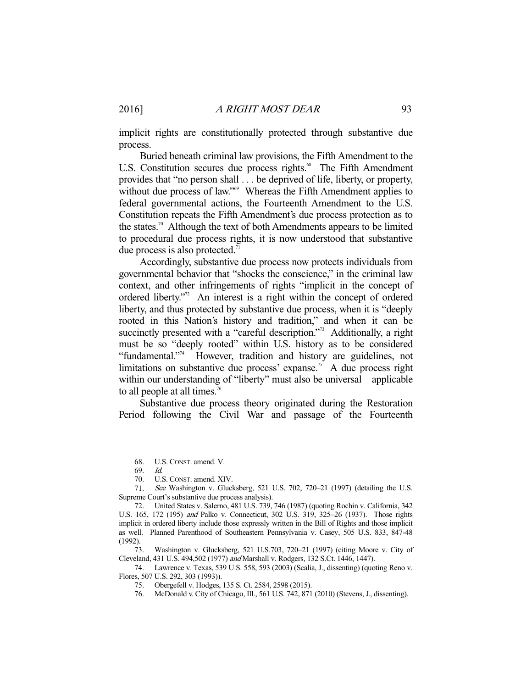implicit rights are constitutionally protected through substantive due process.

 Buried beneath criminal law provisions, the Fifth Amendment to the U.S. Constitution secures due process rights.<sup>68</sup> The Fifth Amendment provides that "no person shall . . . be deprived of life, liberty, or property, without due process of law."<sup>69</sup> Whereas the Fifth Amendment applies to federal governmental actions, the Fourteenth Amendment to the U.S. Constitution repeats the Fifth Amendment's due process protection as to the states.<sup>70</sup> Although the text of both Amendments appears to be limited to procedural due process rights, it is now understood that substantive due process is also protected.<sup>71</sup>

 Accordingly, substantive due process now protects individuals from governmental behavior that "shocks the conscience," in the criminal law context, and other infringements of rights "implicit in the concept of ordered liberty."<sup>2</sup> An interest is a right within the concept of ordered liberty, and thus protected by substantive due process, when it is "deeply rooted in this Nation's history and tradition," and when it can be succinctly presented with a "careful description."<sup>73</sup> Additionally, a right must be so "deeply rooted" within U.S. history as to be considered "fundamental."<sup>74</sup> However, tradition and history are guidelines, not limitations on substantive due process' expanse.<sup>75</sup> A due process right within our understanding of "liberty" must also be universal—applicable to all people at all times.<sup>76</sup>

 Substantive due process theory originated during the Restoration Period following the Civil War and passage of the Fourteenth

-

 73. Washington v. Glucksberg, 521 U.S.703, 720–21 (1997) (citing Moore v. City of Cleveland, 431 U.S. 494,502 (1977) and Marshall v. Rodgers, 132 S.Ct. 1446, 1447).

 74. Lawrence v. Texas, 539 U.S. 558, 593 (2003) (Scalia, J., dissenting) (quoting Reno v. Flores, 507 U.S. 292, 303 (1993)).

 <sup>68.</sup> U.S. CONST. amend. V.

 <sup>69.</sup> Id.

 <sup>70.</sup> U.S. CONST. amend. XIV.

 <sup>71.</sup> See Washington v. Glucksberg, 521 U.S. 702, 720–21 (1997) (detailing the U.S. Supreme Court's substantive due process analysis).

 <sup>72.</sup> United States v. Salerno, 481 U.S. 739, 746 (1987) (quoting Rochin v. California, 342 U.S. 165, 172 (195) and Palko v. Connecticut, 302 U.S. 319, 325–26 (1937). Those rights implicit in ordered liberty include those expressly written in the Bill of Rights and those implicit as well. Planned Parenthood of Southeastern Pennsylvania v. Casey, 505 U.S. 833, 847-48 (1992).

 <sup>75.</sup> Obergefell v. Hodges, 135 S. Ct. 2584, 2598 (2015).

 <sup>76.</sup> McDonald v. City of Chicago, Ill., 561 U.S. 742, 871 (2010) (Stevens, J., dissenting).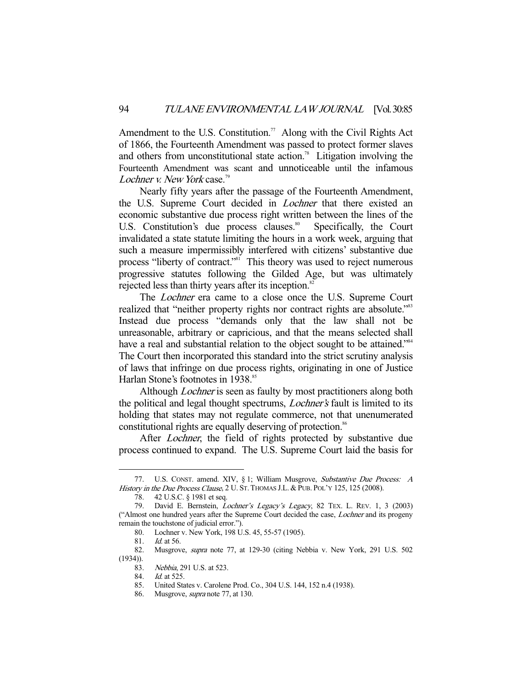Amendment to the U.S. Constitution.<sup>77</sup> Along with the Civil Rights Act of 1866, the Fourteenth Amendment was passed to protect former slaves and others from unconstitutional state action.<sup>78</sup> Litigation involving the Fourteenth Amendment was scant and unnoticeable until the infamous Lochner v. New York case.<sup>79</sup>

 Nearly fifty years after the passage of the Fourteenth Amendment, the U.S. Supreme Court decided in Lochner that there existed an economic substantive due process right written between the lines of the U.S. Constitution's due process clauses.<sup>80</sup> Specifically, the Court invalidated a state statute limiting the hours in a work week, arguing that such a measure impermissibly interfered with citizens' substantive due process "liberty of contract."<sup>81</sup> This theory was used to reject numerous progressive statutes following the Gilded Age, but was ultimately rejected less than thirty years after its inception.<sup>82</sup>

The *Lochner* era came to a close once the U.S. Supreme Court realized that "neither property rights nor contract rights are absolute."<sup>83</sup> Instead due process "demands only that the law shall not be unreasonable, arbitrary or capricious, and that the means selected shall have a real and substantial relation to the object sought to be attained."<sup>84</sup> The Court then incorporated this standard into the strict scrutiny analysis of laws that infringe on due process rights, originating in one of Justice Harlan Stone's footnotes in 1938.<sup>85</sup>

Although *Lochner* is seen as faulty by most practitioners along both the political and legal thought spectrums, Lochner's fault is limited to its holding that states may not regulate commerce, not that unenumerated constitutional rights are equally deserving of protection.<sup>86</sup>

After *Lochner*, the field of rights protected by substantive due process continued to expand. The U.S. Supreme Court laid the basis for

 <sup>77.</sup> U.S. CONST. amend. XIV, § 1; William Musgrove, Substantive Due Process: A History in the Due Process Clause, 2 U. ST. THOMAS J.L. & PUB. POL'Y 125, 125 (2008).

 <sup>78. 42</sup> U.S.C. § 1981 et seq.

<sup>79.</sup> David E. Bernstein, Lochner's Legacy's Legacy, 82 TEX. L. REV. 1, 3 (2003) ("Almost one hundred years after the Supreme Court decided the case, Lochner and its progeny remain the touchstone of judicial error.").

 <sup>80.</sup> Lochner v. New York, 198 U.S. 45, 55-57 (1905).

 <sup>81.</sup> Id. at 56.

 <sup>82.</sup> Musgrove, supra note 77, at 129-30 (citing Nebbia v. New York, 291 U.S. 502 (1934)).

 <sup>83.</sup> Nebbia, 291 U.S. at 523.

 <sup>84.</sup> Id. at 525.

 <sup>85.</sup> United States v. Carolene Prod. Co., 304 U.S. 144, 152 n.4 (1938).

 <sup>86.</sup> Musgrove, supra note 77, at 130.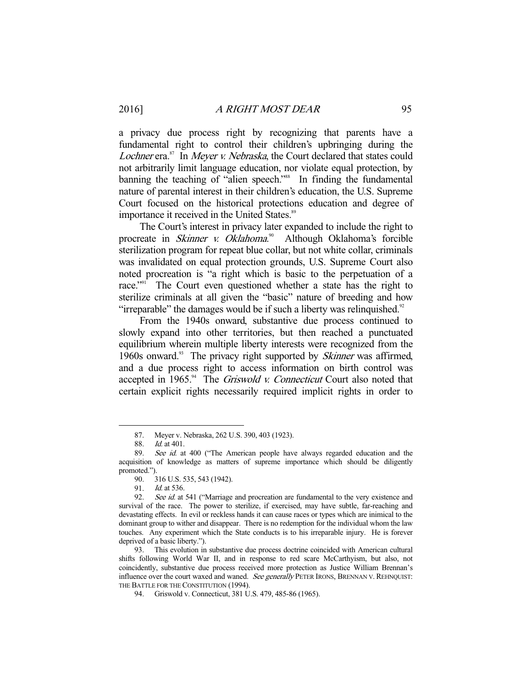a privacy due process right by recognizing that parents have a fundamental right to control their children's upbringing during the Lochner era.<sup>87</sup> In Meyer v. Nebraska, the Court declared that states could not arbitrarily limit language education, nor violate equal protection, by banning the teaching of "alien speech."<sup>88</sup> In finding the fundamental nature of parental interest in their children's education, the U.S. Supreme Court focused on the historical protections education and degree of importance it received in the United States.<sup>89</sup>

 The Court's interest in privacy later expanded to include the right to procreate in *Skinner v. Oklahoma*.<sup>90</sup> Although Oklahoma's forcible sterilization program for repeat blue collar, but not white collar, criminals was invalidated on equal protection grounds, U.S. Supreme Court also noted procreation is "a right which is basic to the perpetuation of a race."<sup>91</sup> The Court even questioned whether a state has the right to sterilize criminals at all given the "basic" nature of breeding and how "irreparable" the damages would be if such a liberty was relinquished. $92$ 

 From the 1940s onward, substantive due process continued to slowly expand into other territories, but then reached a punctuated equilibrium wherein multiple liberty interests were recognized from the 1960s onward.<sup>93</sup> The privacy right supported by *Skinner* was affirmed, and a due process right to access information on birth control was accepted in 1965.<sup>94</sup> The *Griswold v. Connecticut* Court also noted that certain explicit rights necessarily required implicit rights in order to

 <sup>87.</sup> Meyer v. Nebraska, 262 U.S. 390, 403 (1923).

<sup>88.</sup> *Id.* at 401.<br>89. *See id.* at

See id. at 400 ("The American people have always regarded education and the acquisition of knowledge as matters of supreme importance which should be diligently promoted.").

 <sup>90. 316</sup> U.S. 535, 543 (1942).

<sup>91.</sup> *Id.* at 536.

<sup>92.</sup> See id. at 541 ("Marriage and procreation are fundamental to the very existence and survival of the race. The power to sterilize, if exercised, may have subtle, far-reaching and devastating effects. In evil or reckless hands it can cause races or types which are inimical to the dominant group to wither and disappear. There is no redemption for the individual whom the law touches. Any experiment which the State conducts is to his irreparable injury. He is forever deprived of a basic liberty.").

 <sup>93.</sup> This evolution in substantive due process doctrine coincided with American cultural shifts following World War II, and in response to red scare McCarthyism, but also, not coincidently, substantive due process received more protection as Justice William Brennan's influence over the court waxed and waned. See generally PETER IRONS, BRENNAN V. REHNQUIST: THE BATTLE FOR THE CONSTITUTION (1994).

 <sup>94.</sup> Griswold v. Connecticut, 381 U.S. 479, 485-86 (1965).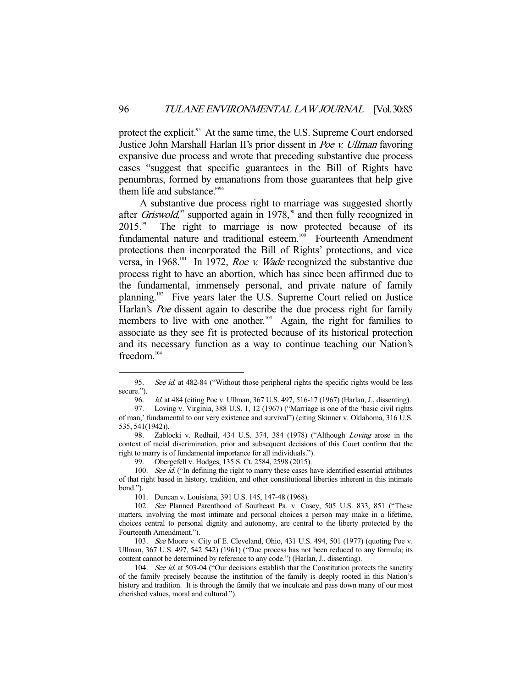protect the explicit.<sup>95</sup> At the same time, the U.S. Supreme Court endorsed Justice John Marshall Harlan II's prior dissent in Poe v. Ullman favoring expansive due process and wrote that preceding substantive due process cases "suggest that specific guarantees in the Bill of Rights have penumbras, formed by emanations from those guarantees that help give them life and substance."<sup>96</sup>

 A substantive due process right to marriage was suggested shortly after *Griswold*,<sup>97</sup> supported again in 1978,<sup>98</sup> and then fully recognized in 2015.<sup>99</sup> The right to marriage is now protected because of its fundamental nature and traditional esteem.<sup>100</sup> Fourteenth Amendment protections then incorporated the Bill of Rights' protections, and vice versa, in 1968.101 In 1972, Roe v. Wade recognized the substantive due process right to have an abortion, which has since been affirmed due to the fundamental, immensely personal, and private nature of family planning.102 Five years later the U.S. Supreme Court relied on Justice Harlan's Poe dissent again to describe the due process right for family members to live with one another.<sup>103</sup> Again, the right for families to associate as they see fit is protected because of its historical protection and its necessary function as a way to continue teaching our Nation's freedom.<sup>104</sup>

<sup>95.</sup> See id. at 482-84 ("Without those peripheral rights the specific rights would be less secure.").

 <sup>96.</sup> Id. at 484 (citing Poe v. Ullman, 367 U.S. 497, 516-17 (1967) (Harlan, J., dissenting).

 <sup>97.</sup> Loving v. Virginia, 388 U.S. 1, 12 (1967) ("Marriage is one of the 'basic civil rights of man,' fundamental to our very existence and survival") (citing Skinner v. Oklahoma, 316 U.S. 535, 541(1942)).

<sup>98.</sup> Zablocki v. Redhail, 434 U.S. 374, 384 (1978) ("Although Loving arose in the context of racial discrimination, prior and subsequent decisions of this Court confirm that the right to marry is of fundamental importance for all individuals.").

 <sup>99.</sup> Obergefell v. Hodges, 135 S. Ct. 2584, 2598 (2015).

<sup>100.</sup> See id. ("In defining the right to marry these cases have identified essential attributes of that right based in history, tradition, and other constitutional liberties inherent in this intimate bond.").

 <sup>101.</sup> Duncan v. Louisiana, 391 U.S. 145, 147-48 (1968).

 <sup>102.</sup> See Planned Parenthood of Southeast Pa. v. Casey, 505 U.S. 833, 851 ("These matters, involving the most intimate and personal choices a person may make in a lifetime, choices central to personal dignity and autonomy, are central to the liberty protected by the Fourteenth Amendment.").

 <sup>103.</sup> See Moore v. City of E. Cleveland, Ohio, 431 U.S. 494, 501 (1977) (quoting Poe v. Ullman, 367 U.S. 497, 542 542) (1961) ("Due process has not been reduced to any formula; its content cannot be determined by reference to any code.") (Harlan, J., dissenting).

<sup>104.</sup> See id. at 503-04 ("Our decisions establish that the Constitution protects the sanctity of the family precisely because the institution of the family is deeply rooted in this Nation's history and tradition. It is through the family that we inculcate and pass down many of our most cherished values, moral and cultural.").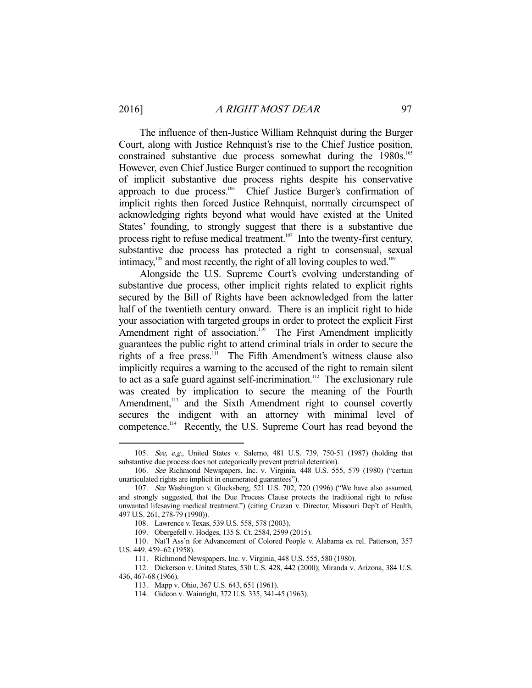The influence of then-Justice William Rehnquist during the Burger Court, along with Justice Rehnquist's rise to the Chief Justice position, constrained substantive due process somewhat during the 1980s.<sup>105</sup> However, even Chief Justice Burger continued to support the recognition of implicit substantive due process rights despite his conservative approach to due process.<sup>106</sup> Chief Justice Burger's confirmation of implicit rights then forced Justice Rehnquist, normally circumspect of acknowledging rights beyond what would have existed at the United States' founding, to strongly suggest that there is a substantive due process right to refuse medical treatment.<sup>107</sup> Into the twenty-first century, substantive due process has protected a right to consensual, sexual intimacy, $108$  and most recently, the right of all loving couples to wed.<sup>109</sup>

 Alongside the U.S. Supreme Court's evolving understanding of substantive due process, other implicit rights related to explicit rights secured by the Bill of Rights have been acknowledged from the latter half of the twentieth century onward. There is an implicit right to hide your association with targeted groups in order to protect the explicit First Amendment right of association.<sup>110</sup> The First Amendment implicitly guarantees the public right to attend criminal trials in order to secure the rights of a free press.<sup>111</sup> The Fifth Amendment's witness clause also implicitly requires a warning to the accused of the right to remain silent to act as a safe guard against self-incrimination.<sup>112</sup> The exclusionary rule was created by implication to secure the meaning of the Fourth Amendment,<sup>113</sup> and the Sixth Amendment right to counsel covertly secures the indigent with an attorney with minimal level of competence.<sup>114</sup> Recently, the U.S. Supreme Court has read beyond the

 <sup>105.</sup> See, e.g., United States v. Salerno, 481 U.S. 739, 750-51 (1987) (holding that substantive due process does not categorically prevent pretrial detention).

 <sup>106.</sup> See Richmond Newspapers, Inc. v. Virginia, 448 U.S. 555, 579 (1980) ("certain unarticulated rights are implicit in enumerated guarantees").

 <sup>107.</sup> See Washington v. Glucksberg, 521 U.S. 702, 720 (1996) ("We have also assumed, and strongly suggested, that the Due Process Clause protects the traditional right to refuse unwanted lifesaving medical treatment.") (citing Cruzan v. Director, Missouri Dep't of Health, 497 U.S. 261, 278-79 (1990)).

 <sup>108.</sup> Lawrence v. Texas, 539 U.S. 558, 578 (2003).

 <sup>109.</sup> Obergefell v. Hodges, 135 S. Ct. 2584, 2599 (2015).

 <sup>110.</sup> Nat'l Ass'n for Advancement of Colored People v. Alabama ex rel. Patterson, 357 U.S. 449, 459–62 (1958).

 <sup>111.</sup> Richmond Newspapers, Inc. v. Virginia, 448 U.S. 555, 580 (1980).

 <sup>112.</sup> Dickerson v. United States, 530 U.S. 428, 442 (2000); Miranda v. Arizona, 384 U.S.

<sup>436, 467-68 (1966).</sup> 

 <sup>113.</sup> Mapp v. Ohio, 367 U.S. 643, 651 (1961).

 <sup>114.</sup> Gideon v. Wainright, 372 U.S. 335, 341-45 (1963).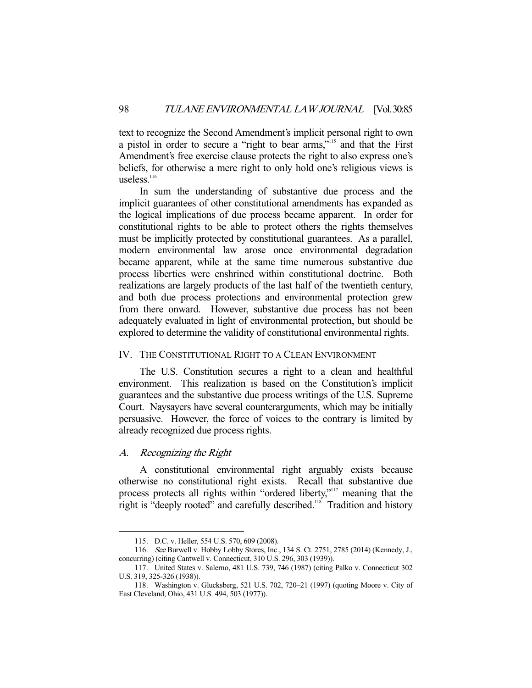text to recognize the Second Amendment's implicit personal right to own a pistol in order to secure a "right to bear arms,"115 and that the First Amendment's free exercise clause protects the right to also express one's beliefs, for otherwise a mere right to only hold one's religious views is useless. $116$ 

 In sum the understanding of substantive due process and the implicit guarantees of other constitutional amendments has expanded as the logical implications of due process became apparent. In order for constitutional rights to be able to protect others the rights themselves must be implicitly protected by constitutional guarantees. As a parallel, modern environmental law arose once environmental degradation became apparent, while at the same time numerous substantive due process liberties were enshrined within constitutional doctrine. Both realizations are largely products of the last half of the twentieth century, and both due process protections and environmental protection grew from there onward. However, substantive due process has not been adequately evaluated in light of environmental protection, but should be explored to determine the validity of constitutional environmental rights.

## IV. THE CONSTITUTIONAL RIGHT TO A CLEAN ENVIRONMENT

 The U.S. Constitution secures a right to a clean and healthful environment. This realization is based on the Constitution's implicit guarantees and the substantive due process writings of the U.S. Supreme Court. Naysayers have several counterarguments, which may be initially persuasive. However, the force of voices to the contrary is limited by already recognized due process rights.

#### A. Recognizing the Right

-

 A constitutional environmental right arguably exists because otherwise no constitutional right exists. Recall that substantive due process protects all rights within "ordered liberty,"117 meaning that the right is "deeply rooted" and carefully described.<sup>118</sup> Tradition and history

 <sup>115.</sup> D.C. v. Heller, 554 U.S. 570, 609 (2008).

 <sup>116.</sup> See Burwell v. Hobby Lobby Stores, Inc., 134 S. Ct. 2751, 2785 (2014) (Kennedy, J., concurring) (citing Cantwell v. Connecticut, 310 U.S. 296, 303 (1939)).

 <sup>117.</sup> United States v. Salerno, 481 U.S. 739, 746 (1987) (citing Palko v. Connecticut 302 U.S. 319, 325-326 (1938)).

 <sup>118.</sup> Washington v. Glucksberg, 521 U.S. 702, 720–21 (1997) (quoting Moore v. City of East Cleveland, Ohio, 431 U.S. 494, 503 (1977)).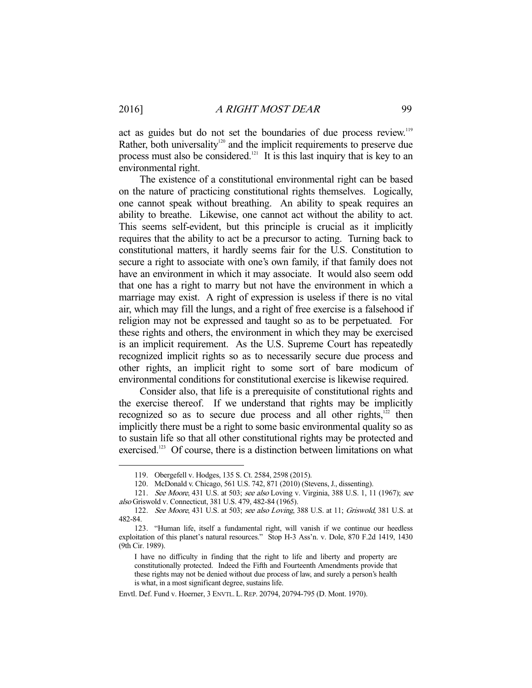act as guides but do not set the boundaries of due process review.<sup>119</sup> Rather, both universality<sup>120</sup> and the implicit requirements to preserve due process must also be considered.<sup>121</sup> It is this last inquiry that is key to an environmental right.

 The existence of a constitutional environmental right can be based on the nature of practicing constitutional rights themselves. Logically, one cannot speak without breathing. An ability to speak requires an ability to breathe. Likewise, one cannot act without the ability to act. This seems self-evident, but this principle is crucial as it implicitly requires that the ability to act be a precursor to acting. Turning back to constitutional matters, it hardly seems fair for the U.S. Constitution to secure a right to associate with one's own family, if that family does not have an environment in which it may associate. It would also seem odd that one has a right to marry but not have the environment in which a marriage may exist. A right of expression is useless if there is no vital air, which may fill the lungs, and a right of free exercise is a falsehood if religion may not be expressed and taught so as to be perpetuated. For these rights and others, the environment in which they may be exercised is an implicit requirement. As the U.S. Supreme Court has repeatedly recognized implicit rights so as to necessarily secure due process and other rights, an implicit right to some sort of bare modicum of environmental conditions for constitutional exercise is likewise required.

 Consider also, that life is a prerequisite of constitutional rights and the exercise thereof. If we understand that rights may be implicitly recognized so as to secure due process and all other rights, $122$  then implicitly there must be a right to some basic environmental quality so as to sustain life so that all other constitutional rights may be protected and exercised.<sup>123</sup> Of course, there is a distinction between limitations on what

 <sup>119.</sup> Obergefell v. Hodges, 135 S. Ct. 2584, 2598 (2015).

 <sup>120.</sup> McDonald v. Chicago, 561 U.S. 742, 871 (2010) (Stevens, J., dissenting).

<sup>121.</sup> See Moore, 431 U.S. at 503; see also Loving v. Virginia, 388 U.S. 1, 11 (1967); see also Griswold v. Connecticut, 381 U.S. 479, 482-84 (1965).

 <sup>122.</sup> See Moore, 431 U.S. at 503; see also Loving, 388 U.S. at 11; Griswold, 381 U.S. at 482-84.

 <sup>123. &</sup>quot;Human life, itself a fundamental right, will vanish if we continue our heedless exploitation of this planet's natural resources." Stop H-3 Ass'n. v. Dole, 870 F.2d 1419, 1430 (9th Cir. 1989).

I have no difficulty in finding that the right to life and liberty and property are constitutionally protected. Indeed the Fifth and Fourteenth Amendments provide that these rights may not be denied without due process of law, and surely a person's health is what, in a most significant degree, sustains life.

Envtl. Def. Fund v. Hoerner, 3 ENVTL. L.REP. 20794, 20794-795 (D. Mont. 1970).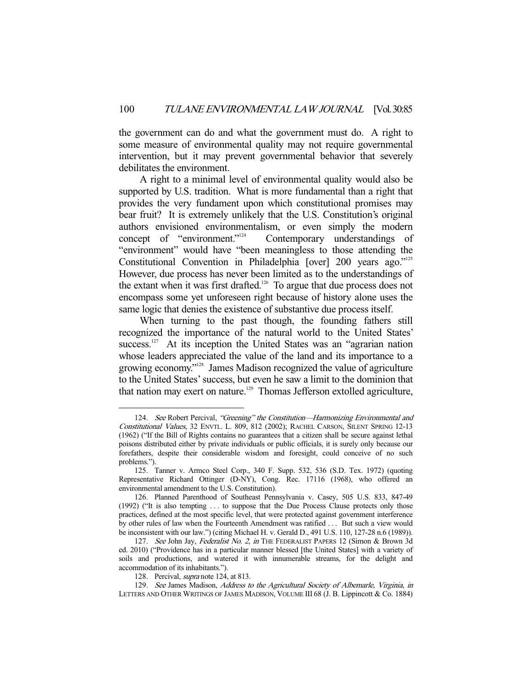the government can do and what the government must do. A right to some measure of environmental quality may not require governmental intervention, but it may prevent governmental behavior that severely debilitates the environment.

 A right to a minimal level of environmental quality would also be supported by U.S. tradition. What is more fundamental than a right that provides the very fundament upon which constitutional promises may bear fruit? It is extremely unlikely that the U.S. Constitution's original authors envisioned environmentalism, or even simply the modern concept of "environment."<sup>124</sup> Contemporary understandings of Contemporary understandings of "environment" would have "been meaningless to those attending the Constitutional Convention in Philadelphia [over] 200 years ago."<sup>125</sup> However, due process has never been limited as to the understandings of the extant when it was first drafted.<sup>126</sup> To argue that due process does not encompass some yet unforeseen right because of history alone uses the same logic that denies the existence of substantive due process itself.

 When turning to the past though, the founding fathers still recognized the importance of the natural world to the United States' success.<sup>127</sup> At its inception the United States was an "agrarian nation whose leaders appreciated the value of the land and its importance to a growing economy."128 James Madison recognized the value of agriculture to the United States' success, but even he saw a limit to the dominion that that nation may exert on nature.<sup>129</sup> Thomas Jefferson extolled agriculture,

<sup>124.</sup> See Robert Percival, "Greening" the Constitution-Harmonizing Environmental and Constitutional Values, 32 ENVTL. L. 809, 812 (2002); RACHEL CARSON, SILENT SPRING 12-13 (1962) ("If the Bill of Rights contains no guarantees that a citizen shall be secure against lethal poisons distributed either by private individuals or public officials, it is surely only because our forefathers, despite their considerable wisdom and foresight, could conceive of no such problems.").

 <sup>125.</sup> Tanner v. Armco Steel Corp., 340 F. Supp. 532, 536 (S.D. Tex. 1972) (quoting Representative Richard Ottinger (D-NY), Cong. Rec. 17116 (1968), who offered an environmental amendment to the U.S. Constitution).

 <sup>126.</sup> Planned Parenthood of Southeast Pennsylvania v. Casey, 505 U.S. 833, 847-49 (1992) ("It is also tempting . . . to suppose that the Due Process Clause protects only those practices, defined at the most specific level, that were protected against government interference by other rules of law when the Fourteenth Amendment was ratified . . . But such a view would be inconsistent with our law.") (citing Michael H. v. Gerald D., 491 U.S. 110, 127-28 n.6 (1989)).

<sup>127.</sup> See John Jay, Federalist No. 2, in THE FEDERALIST PAPERS 12 (Simon & Brown 3d ed. 2010) ("Providence has in a particular manner blessed [the United States] with a variety of soils and productions, and watered it with innumerable streams, for the delight and accommodation of its inhabitants.").

<sup>128.</sup> Percival, *supra* note 124, at 813.

<sup>129.</sup> See James Madison, Address to the Agricultural Society of Albemarle, Virginia, in LETTERS AND OTHER WRITINGS OF JAMES MADISON, VOLUME III 68 (J. B. Lippincott & Co. 1884)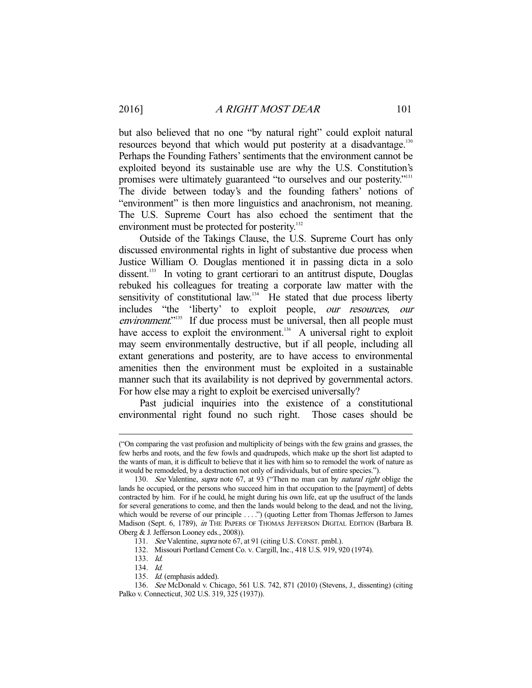but also believed that no one "by natural right" could exploit natural resources beyond that which would put posterity at a disadvantage.<sup>130</sup> Perhaps the Founding Fathers' sentiments that the environment cannot be exploited beyond its sustainable use are why the U.S. Constitution's promises were ultimately guaranteed "to ourselves and our posterity."<sup>131</sup> The divide between today's and the founding fathers' notions of "environment" is then more linguistics and anachronism, not meaning. The U.S. Supreme Court has also echoed the sentiment that the environment must be protected for posterity.<sup>132</sup>

 Outside of the Takings Clause, the U.S. Supreme Court has only discussed environmental rights in light of substantive due process when Justice William O. Douglas mentioned it in passing dicta in a solo dissent.<sup>133</sup> In voting to grant certiorari to an antitrust dispute, Douglas rebuked his colleagues for treating a corporate law matter with the sensitivity of constitutional law.<sup>134</sup> He stated that due process liberty includes "the 'liberty' to exploit people, our resources, our environment.<sup>"135</sup> If due process must be universal, then all people must have access to exploit the environment.<sup>136</sup> A universal right to exploit may seem environmentally destructive, but if all people, including all extant generations and posterity, are to have access to environmental amenities then the environment must be exploited in a sustainable manner such that its availability is not deprived by governmental actors. For how else may a right to exploit be exercised universally?

 Past judicial inquiries into the existence of a constitutional environmental right found no such right. Those cases should be

<sup>(&</sup>quot;On comparing the vast profusion and multiplicity of beings with the few grains and grasses, the few herbs and roots, and the few fowls and quadrupeds, which make up the short list adapted to the wants of man, it is difficult to believe that it lies with him so to remodel the work of nature as it would be remodeled, by a destruction not only of individuals, but of entire species.").

<sup>130.</sup> See Valentine, *supra* note 67, at 93 ("Then no man can by *natural right* oblige the lands he occupied, or the persons who succeed him in that occupation to the [payment] of debts contracted by him. For if he could, he might during his own life, eat up the usufruct of the lands for several generations to come, and then the lands would belong to the dead, and not the living, which would be reverse of our principle . . . .") (quoting Letter from Thomas Jefferson to James Madison (Sept. 6, 1789), in THE PAPERS OF THOMAS JEFFERSON DIGITAL EDITION (Barbara B. Oberg & J. Jefferson Looney eds., 2008)).

<sup>131.</sup> See Valentine, supra note 67, at 91 (citing U.S. CONST. pmbl.).

 <sup>132.</sup> Missouri Portland Cement Co. v. Cargill, Inc., 418 U.S. 919, 920 (1974).

 <sup>133.</sup> Id.

 <sup>134.</sup> Id.

 <sup>135.</sup> Id. (emphasis added).

 <sup>136.</sup> See McDonald v. Chicago, 561 U.S. 742, 871 (2010) (Stevens, J., dissenting) (citing Palko v. Connecticut, 302 U.S. 319, 325 (1937)).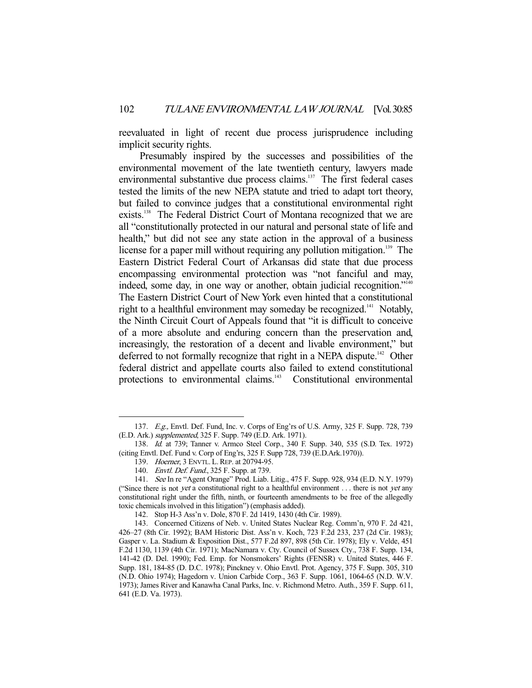reevaluated in light of recent due process jurisprudence including implicit security rights.

 Presumably inspired by the successes and possibilities of the environmental movement of the late twentieth century, lawyers made environmental substantive due process claims.<sup>137</sup> The first federal cases tested the limits of the new NEPA statute and tried to adapt tort theory, but failed to convince judges that a constitutional environmental right exists.<sup>138</sup> The Federal District Court of Montana recognized that we are all "constitutionally protected in our natural and personal state of life and health," but did not see any state action in the approval of a business license for a paper mill without requiring any pollution mitigation.<sup>139</sup> The Eastern District Federal Court of Arkansas did state that due process encompassing environmental protection was "not fanciful and may, indeed, some day, in one way or another, obtain judicial recognition."<sup>140</sup> The Eastern District Court of New York even hinted that a constitutional right to a healthful environment may someday be recognized.<sup>141</sup> Notably, the Ninth Circuit Court of Appeals found that "it is difficult to conceive of a more absolute and enduring concern than the preservation and, increasingly, the restoration of a decent and livable environment," but deferred to not formally recognize that right in a NEPA dispute.<sup>142</sup> Other federal district and appellate courts also failed to extend constitutional protections to environmental claims.<sup>143</sup> Constitutional environmental

 <sup>137.</sup> E.g., Envtl. Def. Fund, Inc. v. Corps of Eng'rs of U.S. Army, 325 F. Supp. 728, 739 (E.D. Ark.) supplemented, 325 F. Supp. 749 (E.D. Ark. 1971).

 <sup>138.</sup> Id. at 739; Tanner v. Armco Steel Corp., 340 F. Supp. 340, 535 (S.D. Tex. 1972) (citing Envtl. Def. Fund v. Corp of Eng'rs, 325 F. Supp 728, 739 (E.D.Ark.1970)).

<sup>139.</sup> Hoerner, 3 ENVTL. L. REP. at 20794-95.

<sup>140.</sup> *Envtl. Def. Fund.*, 325 F. Supp. at 739.

 <sup>141.</sup> See In re "Agent Orange" Prod. Liab. Litig., 475 F. Supp. 928, 934 (E.D. N.Y. 1979) ("Since there is not yet a constitutional right to a healthful environment  $\dots$  there is not yet any constitutional right under the fifth, ninth, or fourteenth amendments to be free of the allegedly toxic chemicals involved in this litigation") (emphasis added).

 <sup>142.</sup> Stop H-3 Ass'n v. Dole, 870 F. 2d 1419, 1430 (4th Cir. 1989).

 <sup>143.</sup> Concerned Citizens of Neb. v. United States Nuclear Reg. Comm'n, 970 F. 2d 421, 426–27 (8th Cir. 1992); BAM Historic Dist. Ass'n v. Koch, 723 F.2d 233, 237 (2d Cir. 1983); Gasper v. La. Stadium & Exposition Dist., 577 F.2d 897, 898 (5th Cir. 1978); Ely v. Velde, 451 F.2d 1130, 1139 (4th Cir. 1971); MacNamara v. Cty. Council of Sussex Cty., 738 F. Supp. 134, 141-42 (D. Del. 1990); Fed. Emp. for Nonsmokers' Rights (FENSR) v. United States, 446 F. Supp. 181, 184-85 (D. D.C. 1978); Pinckney v. Ohio Envtl. Prot. Agency, 375 F. Supp. 305, 310 (N.D. Ohio 1974); Hagedorn v. Union Carbide Corp., 363 F. Supp. 1061, 1064-65 (N.D. W.V. 1973); James River and Kanawha Canal Parks, Inc. v. Richmond Metro. Auth., 359 F. Supp. 611, 641 (E.D. Va. 1973).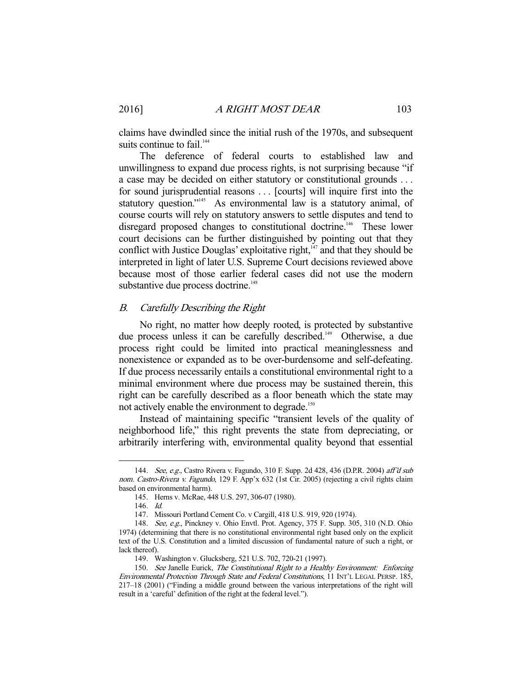claims have dwindled since the initial rush of the 1970s, and subsequent suits continue to fail.<sup>144</sup>

 The deference of federal courts to established law and unwillingness to expand due process rights, is not surprising because "if a case may be decided on either statutory or constitutional grounds . . . for sound jurisprudential reasons . . . [courts] will inquire first into the statutory question."<sup>145</sup> As environmental law is a statutory animal, of course courts will rely on statutory answers to settle disputes and tend to disregard proposed changes to constitutional doctrine.<sup>146</sup> These lower court decisions can be further distinguished by pointing out that they conflict with Justice Douglas' exploitative right, $147$  and that they should be interpreted in light of later U.S. Supreme Court decisions reviewed above because most of those earlier federal cases did not use the modern substantive due process doctrine.<sup>148</sup>

## B. Carefully Describing the Right

 No right, no matter how deeply rooted, is protected by substantive due process unless it can be carefully described.<sup>149</sup> Otherwise, a due process right could be limited into practical meaninglessness and nonexistence or expanded as to be over-burdensome and self-defeating. If due process necessarily entails a constitutional environmental right to a minimal environment where due process may be sustained therein, this right can be carefully described as a floor beneath which the state may not actively enable the environment to degrade.<sup>150</sup>

 Instead of maintaining specific "transient levels of the quality of neighborhood life," this right prevents the state from depreciating, or arbitrarily interfering with, environmental quality beyond that essential

<sup>144.</sup> See, e.g., Castro Rivera v. Fagundo, 310 F. Supp. 2d 428, 436 (D.P.R. 2004) aff'd sub nom. Castro-Rivera v. Fagundo, 129 F. App'x 632 (1st Cir. 2005) (rejecting a civil rights claim based on environmental harm).

 <sup>145.</sup> Herns v. McRae, 448 U.S. 297, 306-07 (1980).

 <sup>146.</sup> Id.

 <sup>147.</sup> Missouri Portland Cement Co. v Cargill, 418 U.S. 919, 920 (1974).

<sup>148.</sup> See, e.g., Pinckney v. Ohio Envtl. Prot. Agency, 375 F. Supp. 305, 310 (N.D. Ohio 1974) (determining that there is no constitutional environmental right based only on the explicit text of the U.S. Constitution and a limited discussion of fundamental nature of such a right, or lack thereof).

 <sup>149.</sup> Washington v. Glucksberg, 521 U.S. 702, 720-21 (1997).

<sup>150.</sup> See Janelle Eurick, The Constitutional Right to a Healthy Environment: Enforcing Environmental Protection Through State and Federal Constitutions, 11 INT'L LEGAL PERSP. 185, 217–18 (2001) ("Finding a middle ground between the various interpretations of the right will result in a 'careful' definition of the right at the federal level.").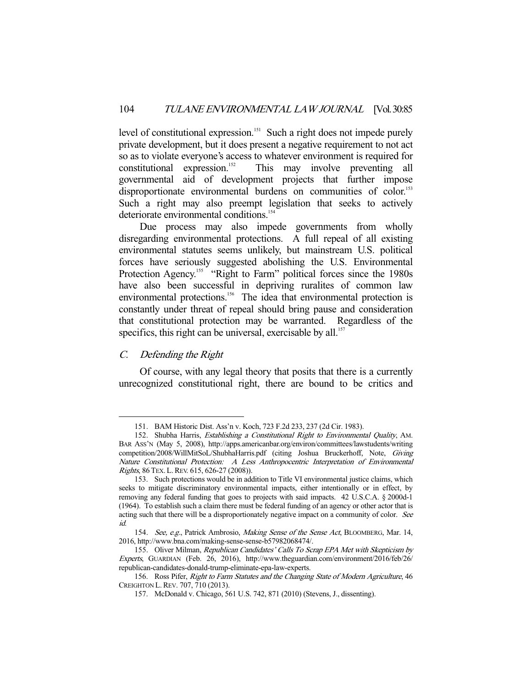level of constitutional expression.<sup>151</sup> Such a right does not impede purely private development, but it does present a negative requirement to not act so as to violate everyone's access to whatever environment is required for  $\alpha$ constitutional expression.<sup>152</sup> This may involve preventing all governmental aid of development projects that further impose disproportionate environmental burdens on communities of color.<sup>153</sup> Such a right may also preempt legislation that seeks to actively deteriorate environmental conditions.<sup>154</sup>

Due process may also impede governments from wholly disregarding environmental protections. A full repeal of all existing environmental statutes seems unlikely, but mainstream U.S. political forces have seriously suggested abolishing the U.S. Environmental Protection Agency.<sup>155</sup> "Right to Farm" political forces since the 1980s have also been successful in depriving ruralites of common law environmental protections.<sup>156</sup> The idea that environmental protection is constantly under threat of repeal should bring pause and consideration that constitutional protection may be warranted. Regardless of the specifics, this right can be universal, exercisable by all. $157$ 

# C. Defending the Right

-

 Of course, with any legal theory that posits that there is a currently unrecognized constitutional right, there are bound to be critics and

 <sup>151.</sup> BAM Historic Dist. Ass'n v. Koch, 723 F.2d 233, 237 (2d Cir. 1983).

 <sup>152.</sup> Shubha Harris, Establishing a Constitutional Right to Environmental Quality, AM. BAR ASS'N (May 5, 2008), http://apps.americanbar.org/environ/committees/lawstudents/writing competition/2008/WillMitSoL/ShubhaHarris.pdf (citing Joshua Bruckerhoff, Note, Giving Nature Constitutional Protection: A Less Anthropocentric Interpretation of Environmental Rights, 86 TEX. L.REV. 615, 626-27 (2008)).

 <sup>153.</sup> Such protections would be in addition to Title VI environmental justice claims, which seeks to mitigate discriminatory environmental impacts, either intentionally or in effect, by removing any federal funding that goes to projects with said impacts. 42 U.S.C.A. § 2000d-1 (1964). To establish such a claim there must be federal funding of an agency or other actor that is acting such that there will be a disproportionately negative impact on a community of color. See id.

<sup>154.</sup> See, e.g., Patrick Ambrosio, Making Sense of the Sense Act, BLOOMBERG, Mar. 14, 2016, http://www.bna.com/making-sense-sense-b57982068474/.

 <sup>155.</sup> Oliver Milman, Republican Candidates' Calls To Scrap EPA Met with Skepticism by Experts, GUARDIAN (Feb. 26, 2016), http://www.theguardian.com/environment/2016/feb/26/ republican-candidates-donald-trump-eliminate-epa-law-experts.

<sup>156.</sup> Ross Pifer, Right to Farm Statutes and the Changing State of Modern Agriculture, 46 CREIGHTON L.REV. 707, 710 (2013).

 <sup>157.</sup> McDonald v. Chicago, 561 U.S. 742, 871 (2010) (Stevens, J., dissenting).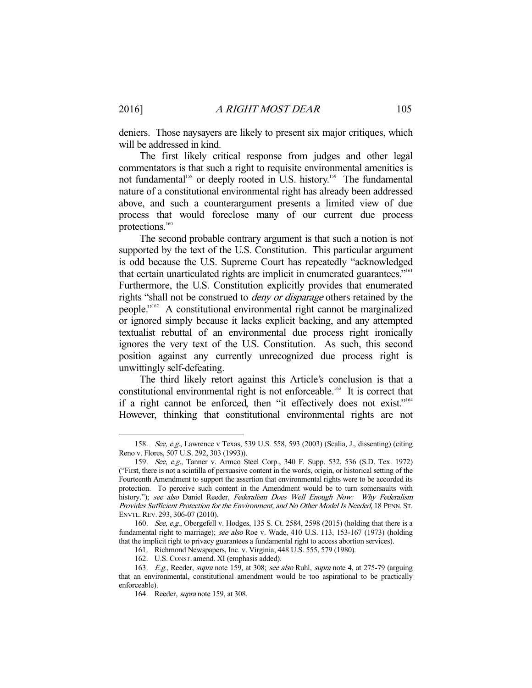deniers. Those naysayers are likely to present six major critiques, which will be addressed in kind.

 The first likely critical response from judges and other legal commentators is that such a right to requisite environmental amenities is not fundamental<sup>158</sup> or deeply rooted in U.S. history.<sup>159</sup> The fundamental nature of a constitutional environmental right has already been addressed above, and such a counterargument presents a limited view of due process that would foreclose many of our current due process protections.<sup>160</sup>

 The second probable contrary argument is that such a notion is not supported by the text of the U.S. Constitution. This particular argument is odd because the U.S. Supreme Court has repeatedly "acknowledged that certain unarticulated rights are implicit in enumerated guarantees."161

Furthermore, the U.S. Constitution explicitly provides that enumerated rights "shall not be construed to *deny or disparage* others retained by the people."162 A constitutional environmental right cannot be marginalized or ignored simply because it lacks explicit backing, and any attempted textualist rebuttal of an environmental due process right ironically ignores the very text of the U.S. Constitution. As such, this second position against any currently unrecognized due process right is unwittingly self-defeating.

 The third likely retort against this Article's conclusion is that a constitutional environmental right is not enforceable.163 It is correct that if a right cannot be enforced, then "it effectively does not exist."164 However, thinking that constitutional environmental rights are not

 <sup>158.</sup> See, e.g., Lawrence v Texas, 539 U.S. 558, 593 (2003) (Scalia, J., dissenting) (citing Reno v. Flores, 507 U.S. 292, 303 (1993)).

 <sup>159.</sup> See, e.g., Tanner v. Armco Steel Corp., 340 F. Supp. 532, 536 (S.D. Tex. 1972) ("First, there is not a scintilla of persuasive content in the words, origin, or historical setting of the Fourteenth Amendment to support the assertion that environmental rights were to be accorded its protection. To perceive such content in the Amendment would be to turn somersaults with history."); see also Daniel Reeder, Federalism Does Well Enough Now: Why Federalism Provides Sufficient Protection for the Environment, and No Other Model Is Needed, 18 PENN. ST. ENVTL.REV. 293, 306-07 (2010).

<sup>160.</sup> *See, e.g.*, Obergefell v. Hodges, 135 S. Ct. 2584, 2598 (2015) (holding that there is a fundamental right to marriage); see also Roe v. Wade, 410 U.S. 113, 153-167 (1973) (holding that the implicit right to privacy guarantees a fundamental right to access abortion services).

 <sup>161.</sup> Richmond Newspapers, Inc. v. Virginia, 448 U.S. 555, 579 (1980).

 <sup>162.</sup> U.S. CONST. amend. XI (emphasis added).

<sup>163.</sup> E.g., Reeder, supra note 159, at 308; see also Ruhl, supra note 4, at 275-79 (arguing that an environmental, constitutional amendment would be too aspirational to be practically enforceable).

<sup>164.</sup> Reeder, *supra* note 159, at 308.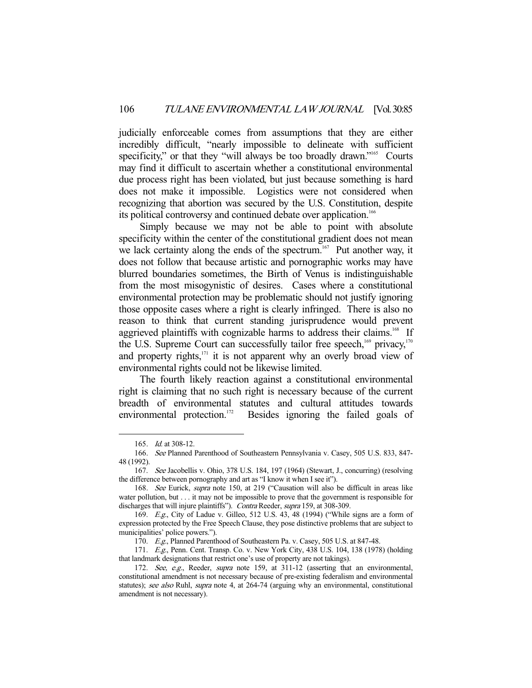judicially enforceable comes from assumptions that they are either incredibly difficult, "nearly impossible to delineate with sufficient specificity," or that they "will always be too broadly drawn."<sup>165</sup> Courts may find it difficult to ascertain whether a constitutional environmental due process right has been violated, but just because something is hard does not make it impossible. Logistics were not considered when recognizing that abortion was secured by the U.S. Constitution, despite its political controversy and continued debate over application.<sup>166</sup>

 Simply because we may not be able to point with absolute specificity within the center of the constitutional gradient does not mean we lack certainty along the ends of the spectrum.<sup>167</sup> Put another way, it does not follow that because artistic and pornographic works may have blurred boundaries sometimes, the Birth of Venus is indistinguishable from the most misogynistic of desires. Cases where a constitutional environmental protection may be problematic should not justify ignoring those opposite cases where a right is clearly infringed. There is also no reason to think that current standing jurisprudence would prevent aggrieved plaintiffs with cognizable harms to address their claims.<sup>168</sup> If the U.S. Supreme Court can successfully tailor free speech, $169$  privacy, $170$ and property rights, $171$  it is not apparent why an overly broad view of environmental rights could not be likewise limited.

 The fourth likely reaction against a constitutional environmental right is claiming that no such right is necessary because of the current breadth of environmental statutes and cultural attitudes towards environmental protection.<sup>172</sup> Besides ignoring the failed goals of

 <sup>165.</sup> Id. at 308-12.

 <sup>166.</sup> See Planned Parenthood of Southeastern Pennsylvania v. Casey, 505 U.S. 833, 847- 48 (1992).

 <sup>167.</sup> See Jacobellis v. Ohio, 378 U.S. 184, 197 (1964) (Stewart, J., concurring) (resolving the difference between pornography and art as "I know it when I see it").

 <sup>168.</sup> See Eurick, supra note 150, at 219 ("Causation will also be difficult in areas like water pollution, but . . . it may not be impossible to prove that the government is responsible for discharges that will injure plaintiffs"). Contra Reeder, supra 159, at 308-309.

 <sup>169.</sup> E.g., City of Ladue v. Gilleo, 512 U.S. 43, 48 (1994) ("While signs are a form of expression protected by the Free Speech Clause, they pose distinctive problems that are subject to municipalities' police powers.").

<sup>170.</sup> E.g., Planned Parenthood of Southeastern Pa. v. Casey, 505 U.S. at 847-48.

 <sup>171.</sup> E.g., Penn. Cent. Transp. Co. v. New York City, 438 U.S. 104, 138 (1978) (holding that landmark designations that restrict one's use of property are not takings).

 <sup>172.</sup> See, e.g., Reeder, supra note 159, at 311-12 (asserting that an environmental, constitutional amendment is not necessary because of pre-existing federalism and environmental statutes); see also Ruhl, supra note 4, at 264-74 (arguing why an environmental, constitutional amendment is not necessary).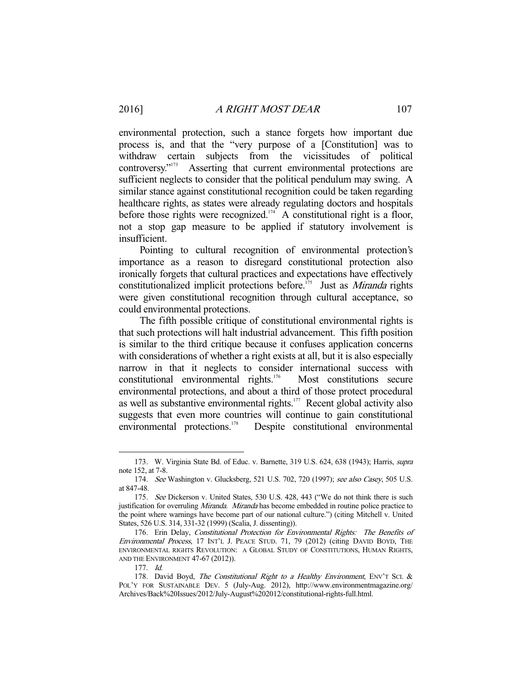environmental protection, such a stance forgets how important due process is, and that the "very purpose of a [Constitution] was to withdraw certain subjects from the vicissitudes of political controversy."<sup>173</sup> Asserting that current environmental protections are Asserting that current environmental protections are sufficient neglects to consider that the political pendulum may swing. A similar stance against constitutional recognition could be taken regarding healthcare rights, as states were already regulating doctors and hospitals before those rights were recognized.<sup>174</sup> A constitutional right is a floor, not a stop gap measure to be applied if statutory involvement is insufficient.

 Pointing to cultural recognition of environmental protection's importance as a reason to disregard constitutional protection also ironically forgets that cultural practices and expectations have effectively constitutionalized implicit protections before.<sup> $175$ </sup> Just as *Miranda* rights were given constitutional recognition through cultural acceptance, so could environmental protections.

 The fifth possible critique of constitutional environmental rights is that such protections will halt industrial advancement. This fifth position is similar to the third critique because it confuses application concerns with considerations of whether a right exists at all, but it is also especially narrow in that it neglects to consider international success with constitutional environmental rights.176 Most constitutions secure environmental protections, and about a third of those protect procedural as well as substantive environmental rights.<sup>177</sup> Recent global activity also suggests that even more countries will continue to gain constitutional environmental protections.<sup>178</sup> Despite constitutional environmental

<sup>173.</sup> W. Virginia State Bd. of Educ. v. Barnette, 319 U.S. 624, 638 (1943); Harris, supra note 152, at 7-8.

 <sup>174.</sup> See Washington v. Glucksberg, 521 U.S. 702, 720 (1997); see also Casey, 505 U.S. at 847-48.

<sup>175.</sup> See Dickerson v. United States, 530 U.S. 428, 443 ("We do not think there is such justification for overruling *Miranda. Miranda* has become embedded in routine police practice to the point where warnings have become part of our national culture.") (citing Mitchell v. United States, 526 U.S. 314, 331-32 (1999) (Scalia, J. dissenting)).

 <sup>176.</sup> Erin Delay, Constitutional Protection for Environmental Rights: The Benefits of Environmental Process, 17 INT'L J. PEACE STUD. 71, 79 (2012) (citing DAVID BOYD, THE ENVIRONMENTAL RIGHTS REVOLUTION: A GLOBAL STUDY OF CONSTITUTIONS, HUMAN RIGHTS, AND THE ENVIRONMENT 47-67 (2012)).

 <sup>177.</sup> Id.

<sup>178.</sup> David Boyd, The Constitutional Right to a Healthy Environment, ENV'T SCI. & POL'Y FOR SUSTAINABLE DEV. 5 (July-Aug. 2012), http://www.environmentmagazine.org/ Archives/Back%20Issues/2012/July-August%202012/constitutional-rights-full.html.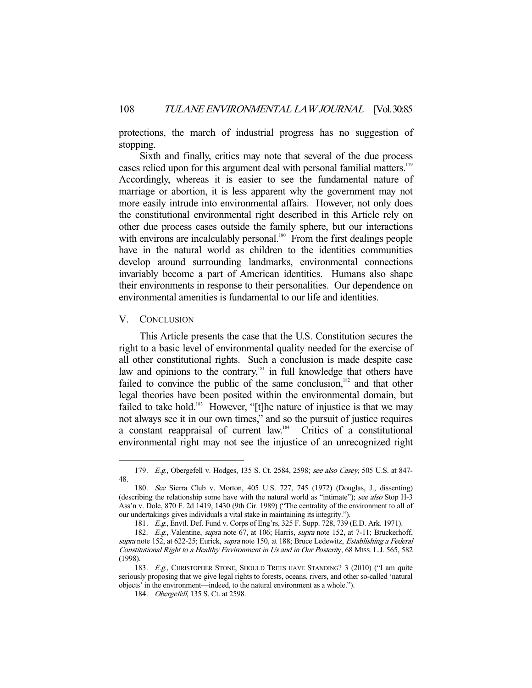protections, the march of industrial progress has no suggestion of stopping.

 Sixth and finally, critics may note that several of the due process cases relied upon for this argument deal with personal familial matters.<sup>179</sup> Accordingly, whereas it is easier to see the fundamental nature of marriage or abortion, it is less apparent why the government may not more easily intrude into environmental affairs. However, not only does the constitutional environmental right described in this Article rely on other due process cases outside the family sphere, but our interactions with environs are incalculably personal.<sup>180</sup> From the first dealings people have in the natural world as children to the identities communities develop around surrounding landmarks, environmental connections invariably become a part of American identities. Humans also shape their environments in response to their personalities. Our dependence on environmental amenities is fundamental to our life and identities.

#### V. CONCLUSION

-

 This Article presents the case that the U.S. Constitution secures the right to a basic level of environmental quality needed for the exercise of all other constitutional rights. Such a conclusion is made despite case law and opinions to the contrary,<sup>181</sup> in full knowledge that others have failed to convince the public of the same conclusion, $182$  and that other legal theories have been posited within the environmental domain, but failed to take hold.<sup>183</sup> However, "[t]he nature of injustice is that we may not always see it in our own times," and so the pursuit of justice requires a constant reappraisal of current law.184 Critics of a constitutional environmental right may not see the injustice of an unrecognized right

<sup>179.</sup> E.g., Obergefell v. Hodges, 135 S. Ct. 2584, 2598; see also Casey, 505 U.S. at 847-48.

 <sup>180.</sup> See Sierra Club v. Morton, 405 U.S. 727, 745 (1972) (Douglas, J., dissenting) (describing the relationship some have with the natural world as "intimate"); see also Stop H-3 Ass'n v. Dole, 870 F. 2d 1419, 1430 (9th Cir. 1989) ("The centrality of the environment to all of our undertakings gives individuals a vital stake in maintaining its integrity.").

 <sup>181.</sup> E.g., Envtl. Def. Fund v. Corps of Eng'rs, 325 F. Supp. 728, 739 (E.D. Ark. 1971).

<sup>182.</sup> E.g., Valentine, *supra* note 67, at 106; Harris, *supra* note 152, at 7-11; Bruckerhoff, supra note 152, at 622-25; Eurick, supra note 150, at 188; Bruce Ledewitz, *Establishing a Federal* Constitutional Right to a Healthy Environment in Us and in Our Posterity, 68 MISS. L.J. 565, 582 (1998).

<sup>183.</sup> E.g., CHRISTOPHER STONE, SHOULD TREES HAVE STANDING? 3 (2010) ("I am quite seriously proposing that we give legal rights to forests, oceans, rivers, and other so-called 'natural objects' in the environment—indeed, to the natural environment as a whole.").

<sup>184.</sup> *Obergefell*, 135 S. Ct. at 2598.